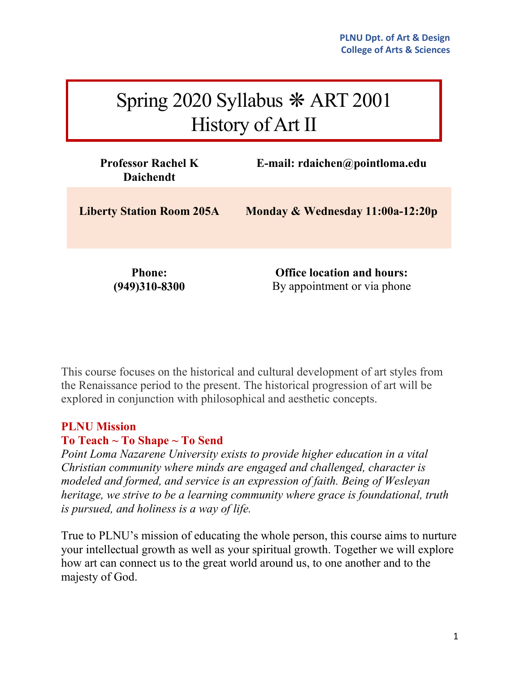# Spring 2020 Syllabus ❋ ART 2001 History of Art II

| <b>Professor Rachel K</b><br><b>Daichendt</b> | E-mail: $rdaichen@pointloma.edu$                                 |
|-----------------------------------------------|------------------------------------------------------------------|
| <b>Liberty Station Room 205A</b>              | Monday & Wednesday 11:00a-12:20p                                 |
| <b>Phone:</b><br>$(949)310 - 8300$            | <b>Office location and hours:</b><br>By appointment or via phone |

This course focuses on the historical and cultural development of art styles from the Renaissance period to the present. The historical progression of art will be explored in conjunction with philosophical and aesthetic concepts.

### **PLNU Mission**

### **To Teach ~ To Shape ~ To Send**

*Point Loma Nazarene University exists to provide higher education in a vital Christian community where minds are engaged and challenged, character is modeled and formed, and service is an expression of faith. Being of Wesleyan heritage, we strive to be a learning community where grace is foundational, truth is pursued, and holiness is a way of life.*

True to PLNU's mission of educating the whole person, this course aims to nurture your intellectual growth as well as your spiritual growth. Together we will explore how art can connect us to the great world around us, to one another and to the majesty of God.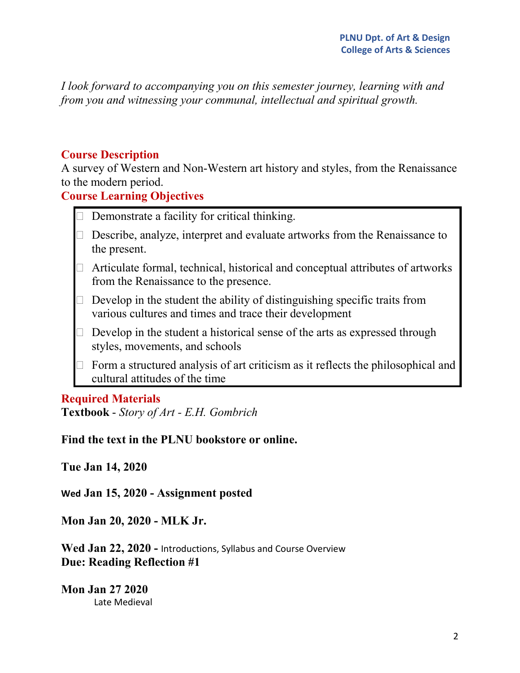*I look forward to accompanying you on this semester journey, learning with and from you and witnessing your communal, intellectual and spiritual growth.*

### **Course Description**

A survey of Western and Non-Western art history and styles, from the Renaissance to the modern period.

**Course Learning Objectives**

- $\Box$  Demonstrate a facility for critical thinking.
- $\Box$  Describe, analyze, interpret and evaluate artworks from the Renaissance to the present.
- $\Box$  Articulate formal, technical, historical and conceptual attributes of artworks from the Renaissance to the presence.
- $\Box$  Develop in the student the ability of distinguishing specific traits from various cultures and times and trace their development
- $\Box$  Develop in the student a historical sense of the arts as expressed through styles, movements, and schools
- $\Box$  Form a structured analysis of art criticism as it reflects the philosophical and cultural attitudes of the time

### **Required Materials**

**Textbook** - *Story of Art - E.H. Gombrich*

**Find the text in the PLNU bookstore or online.**

**Tue Jan 14, 2020**

**Wed Jan 15, 2020 - Assignment posted**

**Mon Jan 20, 2020 - MLK Jr.**

**Wed Jan 22, 2020 -** Introductions, Syllabus and Course Overview **Due: Reading Reflection #1**

**Mon Jan 27 2020** Late Medieval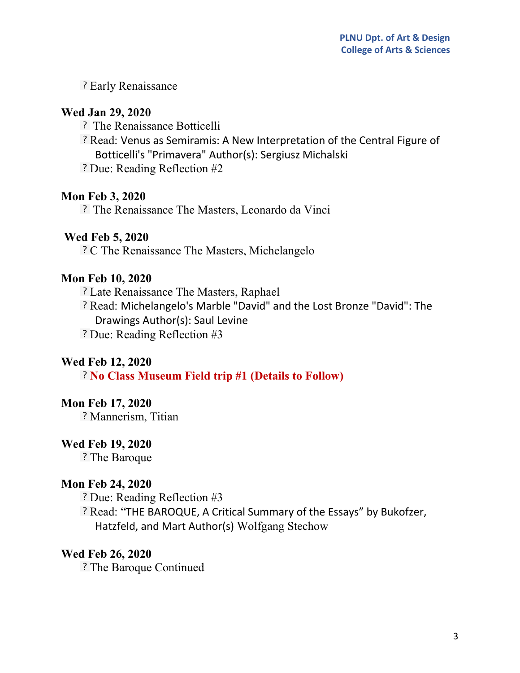? Early Renaissance

### **Wed Jan 29, 2020**

- The Renaissance Botticelli
- ? Read: Venus as Semiramis: A New Interpretation of the Central Figure of Botticelli's "Primavera" Author(s): Sergiusz Michalski
- Due: Reading Reflection #2

# **Mon Feb 3, 2020**

The Renaissance The Masters, Leonardo da Vinci

# **Wed Feb 5, 2020**

C The Renaissance The Masters, Michelangelo

# **Mon Feb 10, 2020**

Late Renaissance The Masters, Raphael

Read: Michelangelo's Marble "David" and the Lost Bronze "David": The Drawings Author(s): Saul Levine

? Due: Reading Reflection #3

# **Wed Feb 12, 2020**

**No Class Museum Field trip #1 (Details to Follow)**

### **Mon Feb 17, 2020**

? Mannerism, Titian

### **Wed Feb 19, 2020**

? The Baroque

### **Mon Feb 24, 2020**

Due: Reading Reflection #3

Read: "THE BAROQUE, A Critical Summary of the Essays" by Bukofzer, Hatzfeld, and Mart Author(s) Wolfgang Stechow

### **Wed Feb 26, 2020**

? The Baroque Continued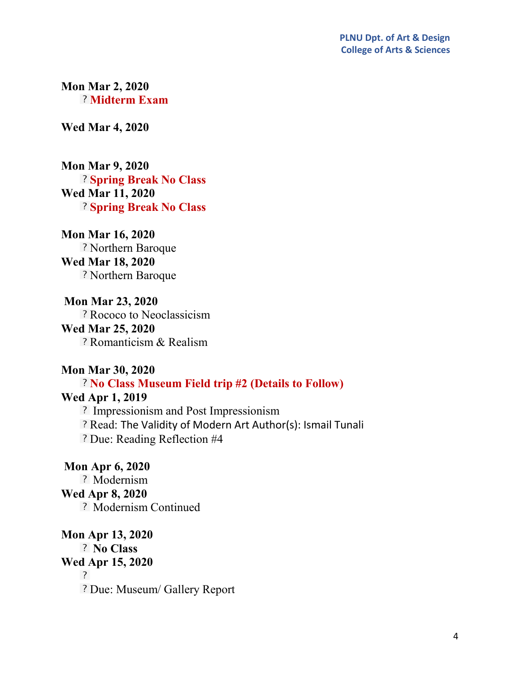**Mon Mar 2, 2020 Midterm Exam**

**Wed Mar 4, 2020**

**Mon Mar 9, 2020 Spring Break No Class Wed Mar 11, 2020 Spring Break No Class**

**Mon Mar 16, 2020** ? Northern Baroque **Wed Mar 18, 2020** Northern Baroque

**Mon Mar 23, 2020** Rococo to Neoclassicism **Wed Mar 25, 2020** Romanticism & Realism

#### **Mon Mar 30, 2020**

### **No Class Museum Field trip #2 (Details to Follow)**

### **Wed Apr 1, 2019**

? Impressionism and Post Impressionism Read: The Validity of Modern Art Author(s): Ismail Tunali Due: Reading Reflection #4

**Mon Apr 6, 2020** ? Modernism **Wed Apr 8, 2020** ? Modernism Continued

**Mon Apr 13, 2020 No Class Wed Apr 15, 2020**  $\overline{?}$ Due: Museum/ Gallery Report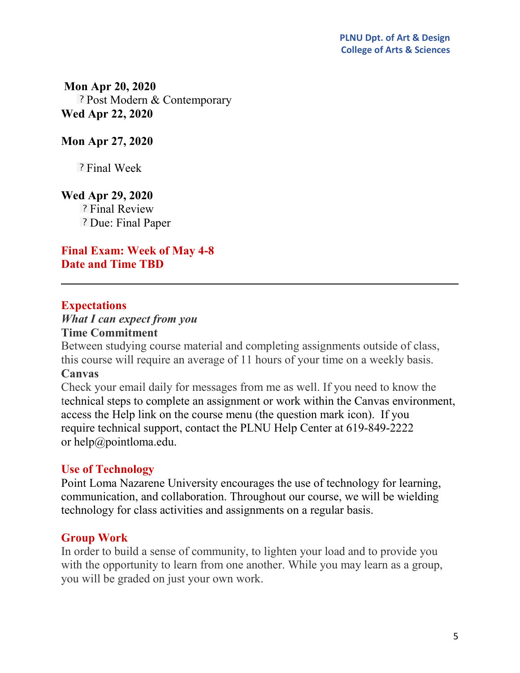**Mon Apr 20, 2020** ? Post Modern & Contemporary **Wed Apr 22, 2020**

### **Mon Apr 27, 2020**

? Final Week

### **Wed Apr 29, 2020**

? Final Review ? Due: Final Paper

**Final Exam: Week of May 4-8 Date and Time TBD**

### **Expectations**

# *What I can expect from you*

### **Time Commitment**

Between studying course material and completing assignments outside of class, this course will require an average of 11 hours of your time on a weekly basis.

### **Canvas**

Check your email daily for messages from me as well. If you need to know the technical steps to complete an assignment or work within the Canvas environment, access the Help link on the course menu (the question mark icon). If you require technical support, contact the PLNU Help Center at 619-849-2222 or [help@pointloma.edu.](mailto:help@pointloma.edu)

### **Use of Technology**

Point Loma Nazarene University encourages the use of technology for learning, communication, and collaboration. Throughout our course, we will be wielding technology for class activities and assignments on a regular basis.

### **Group Work**

In order to build a sense of community, to lighten your load and to provide you with the opportunity to learn from one another. While you may learn as a group, you will be graded on just your own work.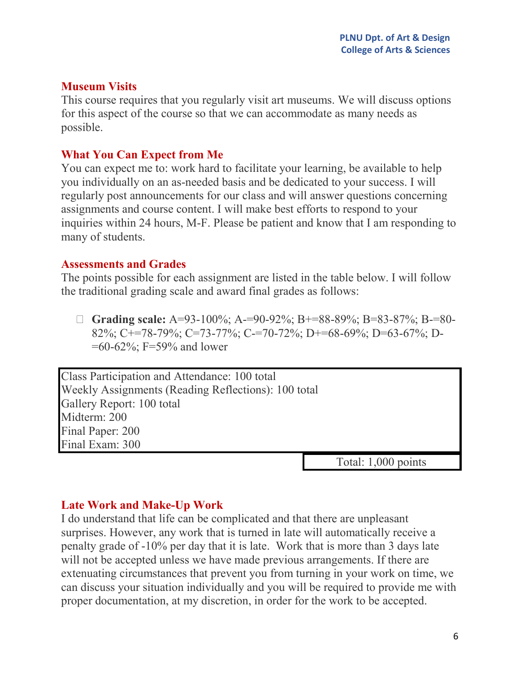### **Museum Visits**

This course requires that you regularly visit art museums. We will discuss options for this aspect of the course so that we can accommodate as many needs as possible.

# **What You Can Expect from Me**

You can expect me to: work hard to facilitate your learning, be available to help you individually on an as-needed basis and be dedicated to your success. I will regularly post announcements for our class and will answer questions concerning assignments and course content. I will make best efforts to respond to your inquiries within 24 hours, M-F. Please be patient and know that I am responding to many of students.

### **Assessments and Grades**

The points possible for each assignment are listed in the table below. I will follow the traditional grading scale and award final grades as follows:

 **Grading scale:** A=93-100%; A-=90-92%; B+=88-89%; B=83-87%; B-=80- 82%; C+=78-79%; C=73-77%; C-=70-72%; D+=68-69%; D=63-67%; D-  $=60-62\%$ ; F $=59\%$  and lower

Class Participation and Attendance: 100 total Weekly Assignments (Reading Reflections): 100 total Gallery Report: 100 total Midterm: 200 Final Paper: 200 Final Exam: 300

Total: 1,000 points

# **Late Work and Make-Up Work**

I do understand that life can be complicated and that there are unpleasant surprises. However, any work that is turned in late will automatically receive a penalty grade of -10% per day that it is late. Work that is more than 3 days late will not be accepted unless we have made previous arrangements. If there are extenuating circumstances that prevent you from turning in your work on time, we can discuss your situation individually and you will be required to provide me with proper documentation, at my discretion, in order for the work to be accepted.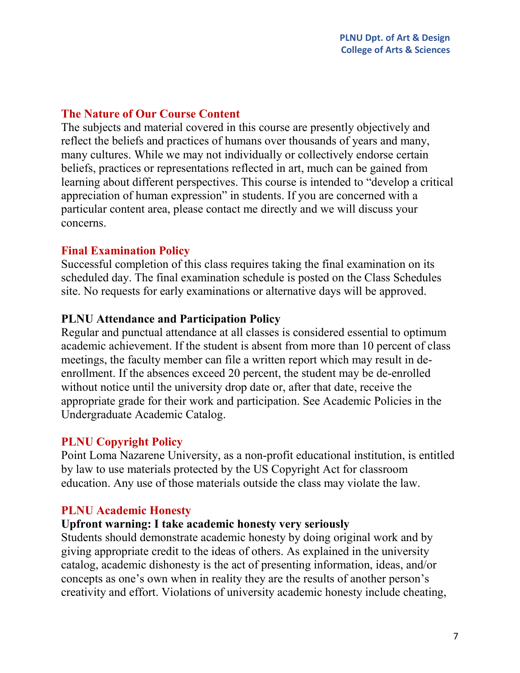### **The Nature of Our Course Content**

The subjects and material covered in this course are presently objectively and reflect the beliefs and practices of humans over thousands of years and many, many cultures. While we may not individually or collectively endorse certain beliefs, practices or representations reflected in art, much can be gained from learning about different perspectives. This course is intended to "develop a critical appreciation of human expression" in students. If you are concerned with a particular content area, please contact me directly and we will discuss your concerns.

# **Final Examination Policy**

Successful completion of this class requires taking the final examination on its scheduled day. The final examination schedule is posted on the Class [Schedules](http://www.pointloma.edu/experience/academics/class-schedules) site. No requests for early examinations or alternative days will be approved.

# **PLNU Attendance and Participation Policy**

Regular and punctual attendance at all classes is considered essential to optimum academic achievement. If the student is absent from more than 10 percent of class meetings, the faculty member can file a written report which may result in deenrollment. If the absences exceed 20 percent, the student may be de-enrolled without notice until the university drop date or, after that date, receive the appropriate grade for their work and participation. See [Academic](http://catalog.pointloma.edu/content.php?catoid=18&navoid=1278) Policies in the Undergraduate Academic Catalog.

### **PLNU Copyright Policy**

Point Loma Nazarene University, as a non-profit educational institution, is entitled by law to use materials protected by the US Copyright Act for classroom education. Any use of those materials outside the class may violate the law.

# **PLNU Academic Honesty**

### **Upfront warning: I take academic honesty very seriously**

Students should demonstrate academic honesty by doing original work and by giving appropriate credit to the ideas of others. As explained in the university catalog, academic dishonesty is the act of presenting information, ideas, and/or concepts as one's own when in reality they are the results of another person's creativity and effort. Violations of university academic honesty include cheating,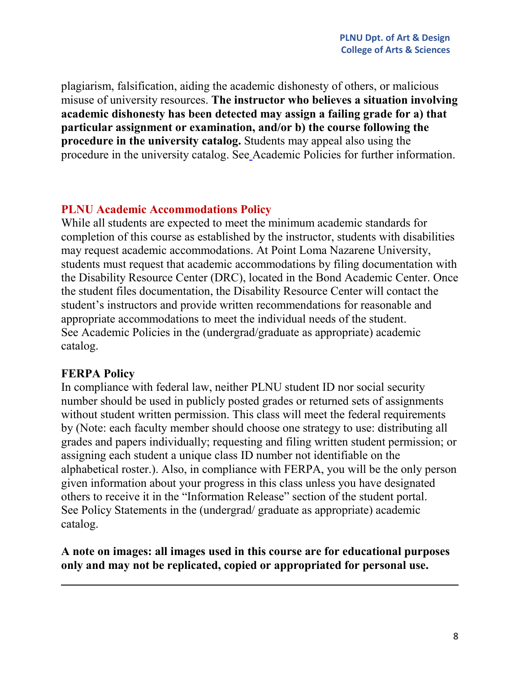plagiarism, falsification, aiding the academic dishonesty of others, or malicious misuse of university resources. **The instructor who believes a situation involving academic dishonesty has been detected may assign a failing grade for a) that particular assignment or examination, and/or b) the course following the procedure in the university catalog.** Students may appeal also using the procedure in the university catalog. Se[e](https://www.google.com/url?q=http://www.pointloma.edu/experience/academics/catalogs/undergraduate-catalog/point-loma-education/academic-policies&sa=D&ust=1527141812806000) [Academic](https://www.google.com/url?q=http://www.pointloma.edu/experience/academics/catalogs/undergraduate-catalog/point-loma-education/academic-policies&sa=D&ust=1527141812806000) Policies for further information.

### **PLNU Academic Accommodations Policy**

While all students are expected to meet the minimum academic standards for completion of this course as established by the instructor, students with disabilities may request academic accommodations. At Point Loma Nazarene University, students must request that academic accommodations by filing documentation with th[e](https://www.google.com/url?q=http://www.pointloma.edu/experience/offices/administrative-offices/academic-advising-office/disability-resource-center&sa=D&ust=1527141812807000) [Disability](https://www.google.com/url?q=http://www.pointloma.edu/experience/offices/administrative-offices/academic-advising-office/disability-resource-center&sa=D&ust=1527141812807000) Resource Center (DRC), located in the Bond Academic Center. Once the student files documentation, the Disability Resource Center will contact the student's instructors and provide written recommendations for reasonable and appropriate accommodations to meet the individual needs of the student. Se[e](https://www.google.com/url?q=http://www.pointloma.edu/experience/academics/catalogs/undergraduate-catalog/point-loma-education/academic-policies&sa=D&ust=1527141812808000) [Academic](https://www.google.com/url?q=http://www.pointloma.edu/experience/academics/catalogs/undergraduate-catalog/point-loma-education/academic-policies&sa=D&ust=1527141812808000) Policies in the (undergrad/graduate as appropriate) academic catalog.

### **FERPA Policy**

In compliance with federal law, neither PLNU student ID nor social security number should be used in publicly posted grades or returned sets of assignments without student written permission. This class will meet the federal requirements by (Note: each faculty member should choose one strategy to use: distributing all grades and papers individually; requesting and filing written student permission; or assigning each student a unique class ID number not identifiable on the alphabetical roster.). Also, in compliance with FERPA, you will be the only person given information about your progress in this class unless you have designated others to receive it in the "Information Release" section of the student portal. Se[e](https://www.google.com/url?q=http://www.pointloma.edu/experience/academics/catalogs/undergraduate-catalog/policy-statements&sa=D&ust=1527141812809000) Policy [Statements](https://www.google.com/url?q=http://www.pointloma.edu/experience/academics/catalogs/undergraduate-catalog/policy-statements&sa=D&ust=1527141812809000) in the (undergrad/ graduate as appropriate) academic catalog.

# **A note on images: all images used in this course are for educational purposes only and may not be replicated, copied or appropriated for personal use.**